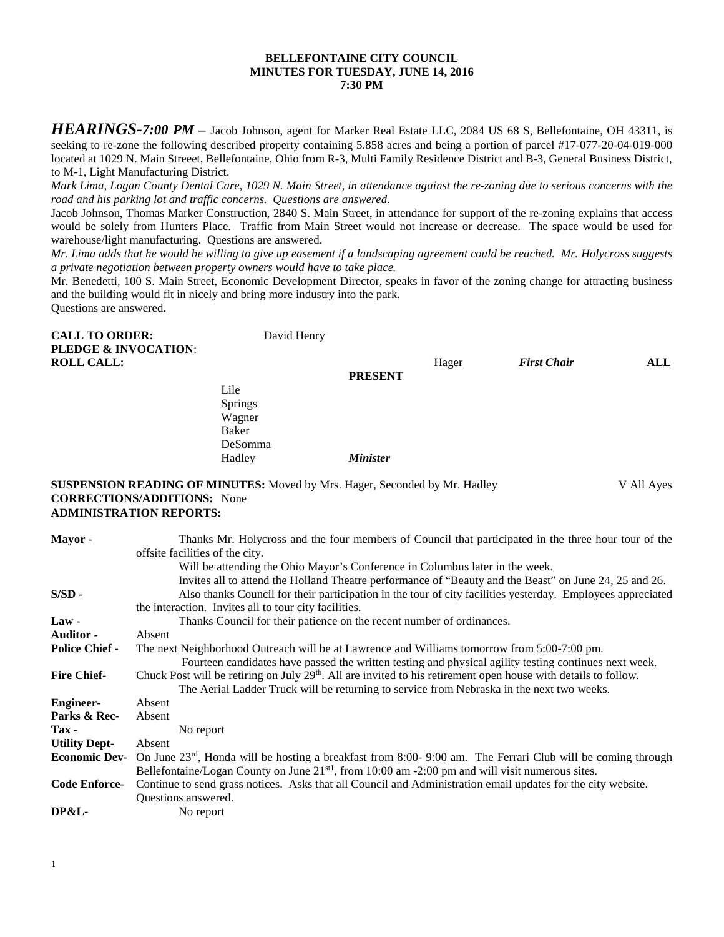### **BELLEFONTAINE CITY COUNCIL MINUTES FOR TUESDAY, JUNE 14, 2016 7:30 PM**

*HEARINGS-7:00 PM* – Jacob Johnson, agent for Marker Real Estate LLC, 2084 US 68 S, Bellefontaine, OH 43311, is seeking to re-zone the following described property containing 5.858 acres and being a portion of parcel #17-077-20-04-019-000 located at 1029 N. Main Streeet, Bellefontaine, Ohio from R-3, Multi Family Residence District and B-3, General Business District, to M-1, Light Manufacturing District.

*Mark Lima, Logan County Dental Care, 1029 N. Main Street, in attendance against the re-zoning due to serious concerns with the road and his parking lot and traffic concerns. Questions are answered.*

Jacob Johnson, Thomas Marker Construction, 2840 S. Main Street, in attendance for support of the re-zoning explains that access would be solely from Hunters Place. Traffic from Main Street would not increase or decrease. The space would be used for warehouse/light manufacturing. Questions are answered.

*Mr. Lima adds that he would be willing to give up easement if a landscaping agreement could be reached. Mr. Holycross suggests a private negotiation between property owners would have to take place.*

Mr. Benedetti, 100 S. Main Street, Economic Development Director, speaks in favor of the zoning change for attracting business and the building would fit in nicely and bring more industry into the park. Questions are answered.

| <b>CALL TO ORDER:</b><br>PLEDGE & INVOCATION:<br><b>ROLL CALL:</b> | David Henry    |                 |       | <b>First Chair</b> | ALL |
|--------------------------------------------------------------------|----------------|-----------------|-------|--------------------|-----|
|                                                                    |                | <b>PRESENT</b>  | Hager |                    |     |
|                                                                    | Lile           |                 |       |                    |     |
|                                                                    | Springs        |                 |       |                    |     |
|                                                                    | Wagner         |                 |       |                    |     |
|                                                                    | Baker          |                 |       |                    |     |
|                                                                    | <b>DeSomma</b> |                 |       |                    |     |
|                                                                    | Hadley         | <b>Minister</b> |       |                    |     |

#### **SUSPENSION READING OF MINUTES:** Moved by Mrs. Hager, Seconded by Mr. Hadley V All Ayes **CORRECTIONS/ADDITIONS:** None **ADMINISTRATION REPORTS:**

| Mayor-                | Thanks Mr. Holycross and the four members of Council that participated in the three hour tour of the                                                                                                                     |
|-----------------------|--------------------------------------------------------------------------------------------------------------------------------------------------------------------------------------------------------------------------|
|                       | offsite facilities of the city.                                                                                                                                                                                          |
|                       | Will be attending the Ohio Mayor's Conference in Columbus later in the week.                                                                                                                                             |
|                       | Invites all to attend the Holland Theatre performance of "Beauty and the Beast" on June 24, 25 and 26.                                                                                                                   |
| $S/SD -$              | Also thanks Council for their participation in the tour of city facilities yesterday. Employees appreciated                                                                                                              |
|                       | the interaction. Invites all to tour city facilities.                                                                                                                                                                    |
| $Law -$               | Thanks Council for their patience on the recent number of ordinances.                                                                                                                                                    |
| <b>Auditor -</b>      | Absent                                                                                                                                                                                                                   |
| <b>Police Chief -</b> | The next Neighborhood Outreach will be at Lawrence and Williams tomorrow from 5:00-7:00 pm.                                                                                                                              |
|                       | Fourteen candidates have passed the written testing and physical agility testing continues next week.                                                                                                                    |
| <b>Fire Chief-</b>    | Chuck Post will be retiring on July 29 <sup>th</sup> . All are invited to his retirement open house with details to follow.<br>The Aerial Ladder Truck will be returning to service from Nebraska in the next two weeks. |
| <b>Engineer-</b>      | Absent                                                                                                                                                                                                                   |
| Parks & Rec-          | Absent                                                                                                                                                                                                                   |
| $\mathbf{Tax}$ -      | No report                                                                                                                                                                                                                |
| <b>Utility Dept-</b>  | Absent                                                                                                                                                                                                                   |
| <b>Economic Dev-</b>  | On June $23^{rd}$ , Honda will be hosting a breakfast from 8:00-9:00 am. The Ferrari Club will be coming through                                                                                                         |
|                       | Bellefontaine/Logan County on June $21st1$ , from 10:00 am $-2:00$ pm and will visit numerous sites.                                                                                                                     |
| <b>Code Enforce-</b>  | Continue to send grass notices. Asks that all Council and Administration email updates for the city website.                                                                                                             |
|                       | <b>Ouestions</b> answered.                                                                                                                                                                                               |
| DP&L-                 | No report                                                                                                                                                                                                                |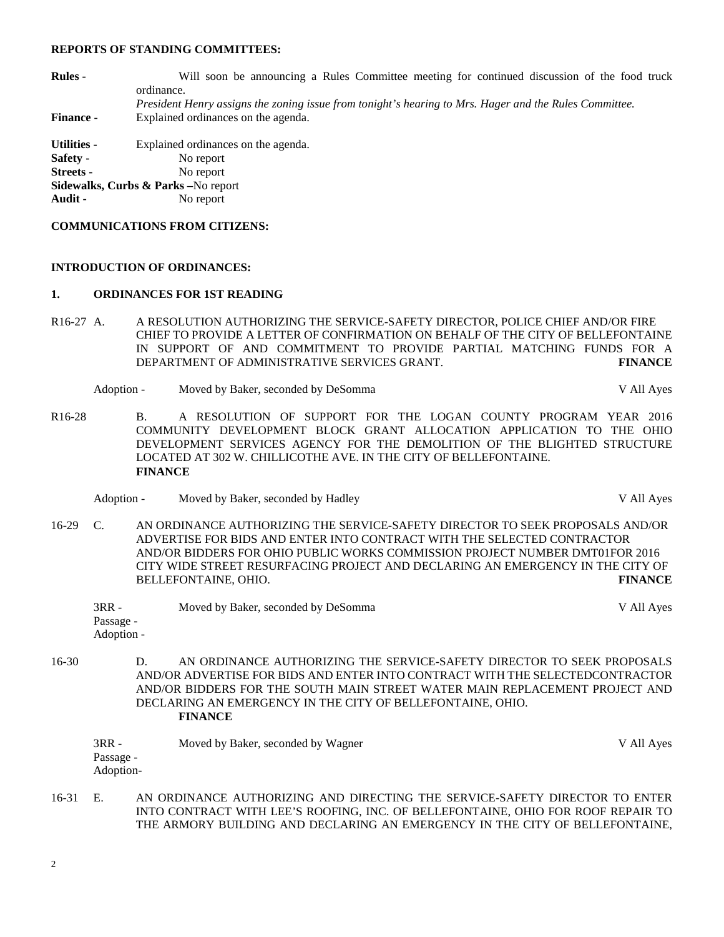#### **REPORTS OF STANDING COMMITTEES:**

| <b>Rules</b> -     | Will soon be announcing a Rules Committee meeting for continued discussion of the food truck           |
|--------------------|--------------------------------------------------------------------------------------------------------|
|                    | ordinance.                                                                                             |
|                    | President Henry assigns the zoning issue from tonight's hearing to Mrs. Hager and the Rules Committee. |
| <b>Finance -</b>   | Explained ordinances on the agenda.                                                                    |
| <b>Utilities -</b> | Explained ordinances on the agenda.                                                                    |
| Safety -           | No report                                                                                              |
| Streets -          | No report                                                                                              |
|                    | <b>Sidewalks, Curbs &amp; Parks</b> – No report                                                        |
| Audit -            | No report                                                                                              |

#### **COMMUNICATIONS FROM CITIZENS:**

### **INTRODUCTION OF ORDINANCES:**

### **1. ORDINANCES FOR 1ST READING**

- R16-27 A. A RESOLUTION AUTHORIZING THE SERVICE-SAFETY DIRECTOR, POLICE CHIEF AND/OR FIRE CHIEF TO PROVIDE A LETTER OF CONFIRMATION ON BEHALF OF THE CITY OF BELLEFONTAINE IN SUPPORT OF AND COMMITMENT TO PROVIDE PARTIAL MATCHING FUNDS FOR A DEPARTMENT OF ADMINISTRATIVE SERVICES GRANT. **FINANCE**
	- Adoption Moved by Baker, seconded by DeSomma V All Ayes
- R16-28 B. A RESOLUTION OF SUPPORT FOR THE LOGAN COUNTY PROGRAM YEAR 2016 COMMUNITY DEVELOPMENT BLOCK GRANT ALLOCATION APPLICATION TO THE OHIO DEVELOPMENT SERVICES AGENCY FOR THE DEMOLITION OF THE BLIGHTED STRUCTURE LOCATED AT 302 W. CHILLICOTHE AVE. IN THE CITY OF BELLEFONTAINE. **FINANCE**

Adoption - Moved by Baker, seconded by Hadley **Access 2008** V All Ayes

16-29 C. AN ORDINANCE AUTHORIZING THE SERVICE-SAFETY DIRECTOR TO SEEK PROPOSALS AND/OR ADVERTISE FOR BIDS AND ENTER INTO CONTRACT WITH THE SELECTED CONTRACTOR AND/OR BIDDERS FOR OHIO PUBLIC WORKS COMMISSION PROJECT NUMBER DMT01FOR 2016 CITY WIDE STREET RESURFACING PROJECT AND DECLARING AN EMERGENCY IN THE CITY OF BELLEFONTAINE, OHIO. **FINANCE**

| $3RR -$    | Moved by Baker, seconded by DeSomma | V All Ayes |
|------------|-------------------------------------|------------|
| Passage -  |                                     |            |
| Adoption - |                                     |            |

16-30 D. AN ORDINANCE AUTHORIZING THE SERVICE-SAFETY DIRECTOR TO SEEK PROPOSALS AND/OR ADVERTISE FOR BIDS AND ENTER INTO CONTRACT WITH THE SELECTEDCONTRACTOR AND/OR BIDDERS FOR THE SOUTH MAIN STREET WATER MAIN REPLACEMENT PROJECT AND DECLARING AN EMERGENCY IN THE CITY OF BELLEFONTAINE, OHIO. **FINANCE**

| $3RR -$   | Moved by Baker, seconded by Wagner | V All Ayes |
|-----------|------------------------------------|------------|
| Passage - |                                    |            |
| Adoption- |                                    |            |

16-31 E. AN ORDINANCE AUTHORIZING AND DIRECTING THE SERVICE-SAFETY DIRECTOR TO ENTER INTO CONTRACT WITH LEE'S ROOFING, INC. OF BELLEFONTAINE, OHIO FOR ROOF REPAIR TO THE ARMORY BUILDING AND DECLARING AN EMERGENCY IN THE CITY OF BELLEFONTAINE,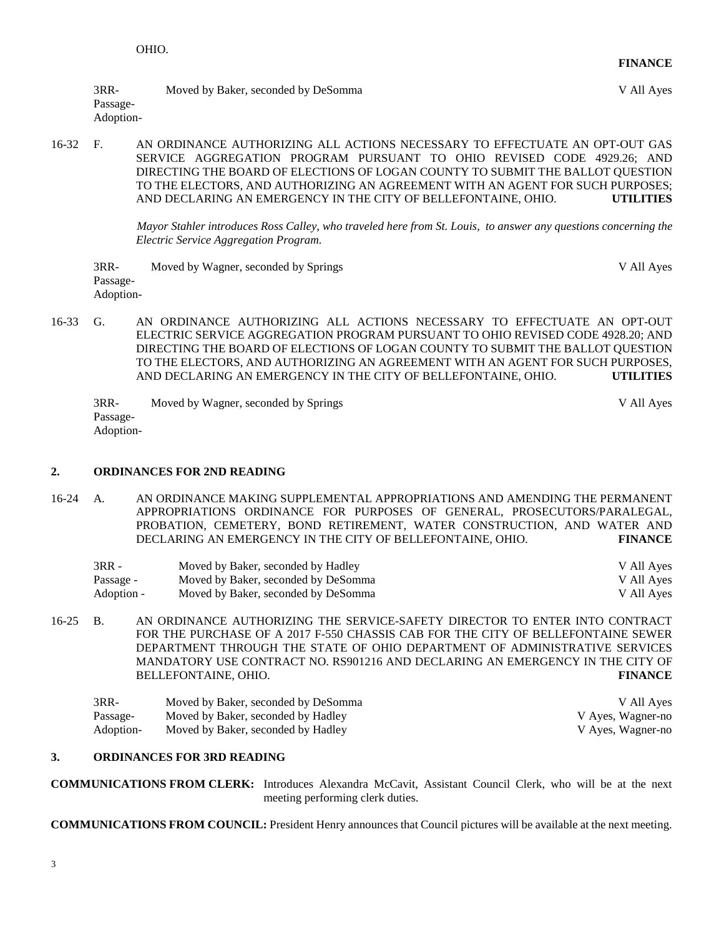3RR- Moved by Baker, seconded by DeSomma V All Ayes Passage-Adoption-

16-32 F. AN ORDINANCE AUTHORIZING ALL ACTIONS NECESSARY TO EFFECTUATE AN OPT-OUT GAS SERVICE AGGREGATION PROGRAM PURSUANT TO OHIO REVISED CODE 4929.26; AND DIRECTING THE BOARD OF ELECTIONS OF LOGAN COUNTY TO SUBMIT THE BALLOT QUESTION TO THE ELECTORS, AND AUTHORIZING AN AGREEMENT WITH AN AGENT FOR SUCH PURPOSES; AND DECLARING AN EMERGENCY IN THE CITY OF BELLEFONTAINE, OHIO. **UTILITIES**

> *Mayor Stahler introduces Ross Calley, who traveled here from St. Louis, to answer any questions concerning the Electric Service Aggregation Program.*

- 3RR- Moved by Wagner, seconded by Springs V All Ayes Passage-Adoption-
- 16-33 G. AN ORDINANCE AUTHORIZING ALL ACTIONS NECESSARY TO EFFECTUATE AN OPT-OUT ELECTRIC SERVICE AGGREGATION PROGRAM PURSUANT TO OHIO REVISED CODE 4928.20; AND DIRECTING THE BOARD OF ELECTIONS OF LOGAN COUNTY TO SUBMIT THE BALLOT QUESTION TO THE ELECTORS, AND AUTHORIZING AN AGREEMENT WITH AN AGENT FOR SUCH PURPOSES, AND DECLARING AN EMERGENCY IN THE CITY OF BELLEFONTAINE, OHIO. **UTILITIES**

3RR- Moved by Wagner, seconded by Springs V All Ayes Passage-Adoption-

# **2. ORDINANCES FOR 2ND READING**

16-24 A. AN ORDINANCE MAKING SUPPLEMENTAL APPROPRIATIONS AND AMENDING THE PERMANENT APPROPRIATIONS ORDINANCE FOR PURPOSES OF GENERAL, PROSECUTORS/PARALEGAL, PROBATION, CEMETERY, BOND RETIREMENT, WATER CONSTRUCTION, AND WATER AND DECLARING AN EMERGENCY IN THE CITY OF BELLEFONTAINE, OHIO. **FINANCE**

| 3RR -      | Moved by Baker, seconded by Hadley  | V All Ayes |
|------------|-------------------------------------|------------|
| Passage -  | Moved by Baker, seconded by DeSomma | V All Aves |
| Adoption - | Moved by Baker, seconded by DeSomma | V All Aves |

16-25 B. AN ORDINANCE AUTHORIZING THE SERVICE-SAFETY DIRECTOR TO ENTER INTO CONTRACT FOR THE PURCHASE OF A 2017 F-550 CHASSIS CAB FOR THE CITY OF BELLEFONTAINE SEWER DEPARTMENT THROUGH THE STATE OF OHIO DEPARTMENT OF ADMINISTRATIVE SERVICES MANDATORY USE CONTRACT NO. RS901216 AND DECLARING AN EMERGENCY IN THE CITY OF BELLEFONTAINE, OHIO. **FINANCE**

| $3RR-$    | Moved by Baker, seconded by DeSomma | V All Ayes        |
|-----------|-------------------------------------|-------------------|
| Passage-  | Moved by Baker, seconded by Hadley  | V Ayes, Wagner-no |
| Adoption- | Moved by Baker, seconded by Hadley  | V Ayes, Wagner-no |

## **3. ORDINANCES FOR 3RD READING**

**COMMUNICATIONS FROM CLERK:** Introduces Alexandra McCavit, Assistant Council Clerk, who will be at the next meeting performing clerk duties.

**COMMUNICATIONS FROM COUNCIL:** President Henry announces that Council pictures will be available at the next meeting.